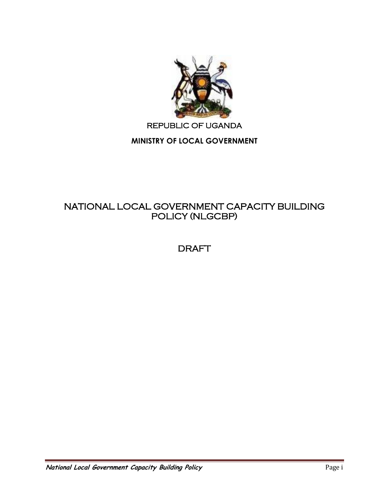

# REPUBLIC OF UGANDA

# **MINISTRY OF LOCAL GOVERNMENT**

# NATIONAL LOCAL GOVERNMENT CAPACITY BUILDING POLICY (NLGCBP)

# DRAFT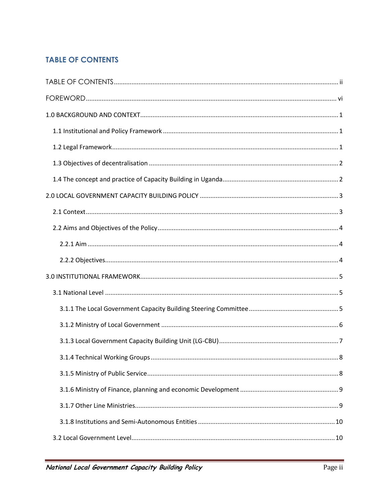# <span id="page-1-0"></span>**TABLE OF CONTENTS**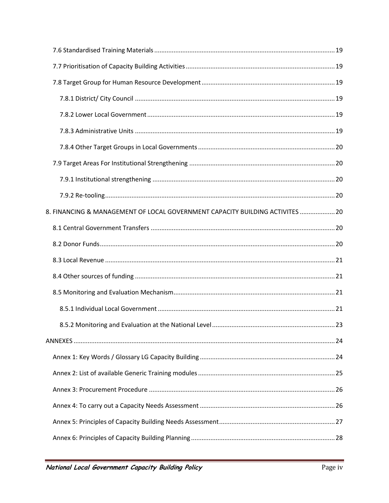| 8. FINANCING & MANAGEMENT OF LOCAL GOVERNMENT CAPACITY BUILDING ACTIVITES  20 |  |
|-------------------------------------------------------------------------------|--|
|                                                                               |  |
|                                                                               |  |
|                                                                               |  |
|                                                                               |  |
|                                                                               |  |
|                                                                               |  |
|                                                                               |  |
|                                                                               |  |
|                                                                               |  |
|                                                                               |  |
|                                                                               |  |
|                                                                               |  |
|                                                                               |  |
|                                                                               |  |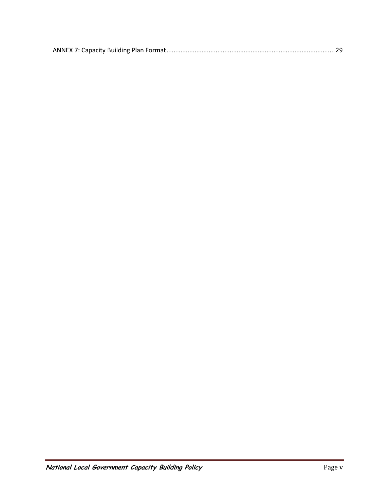|--|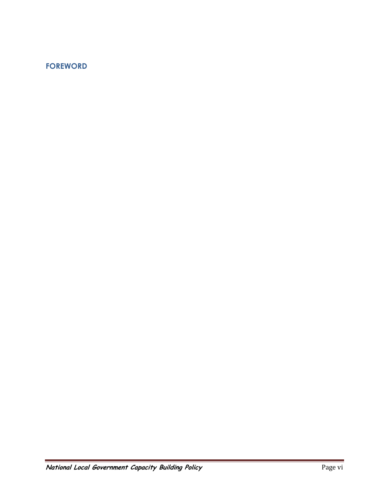# <span id="page-5-0"></span>**FOREWORD**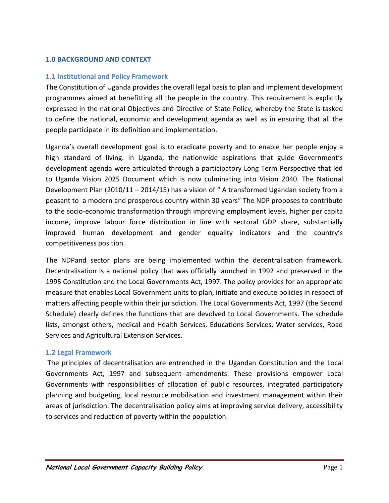### <span id="page-6-0"></span>**1.0 BACKGROUND AND CONTEXT**

### <span id="page-6-1"></span>**1.1 Institutional and Policy Framework**

The Constitution of Uganda provides the overall legal basis to plan and implement development programmes aimed at benefitting all the people in the country. This requirement is explicitly expressed in the national Objectives and Directive of State Policy, whereby the State is tasked to define the national, economic and development agenda as well as in ensuring that all the people participate in its definition and implementation.

Uganda's overall development goal is to eradicate poverty and to enable her people enjoy a high standard of living. In Uganda, the nationwide aspirations that guide Government's development agenda were articulated through a participatory Long Term Perspective that led to Uganda Vision 2025 Document which is now culminating into Vision 2040. The National Development Plan (2010/11 – 2014/15) has a vision of " A transformed Ugandan society from a peasant to a modern and prosperous country within 30 years" The NDP proposes to contribute to the socio-economic transformation through improving employment levels, higher per capita income, improve labour force distribution in line with sectoral GDP share, substantially improved human development and gender equality indicators and the country's competitiveness position.

The NDPand sector plans are being implemented within the decentralisation framework. Decentralisation is a national policy that was officially launched in 1992 and preserved in the 1995 Constitution and the Local Governments Act, 1997. The policy provides for an appropriate measure that enables Local Government units to plan, initiate and execute policies in respect of matters affecting people within their jurisdiction. The Local Governments Act, 1997 (the Second Schedule) clearly defines the functions that are devolved to Local Governments. The schedule lists, amongst others, medical and Health Services, Educations Services, Water services, Road Services and Agricultural Extension Services.

#### <span id="page-6-2"></span>**1.2 Legal Framework**

The principles of decentralisation are entrenched in the Ugandan Constitution and the Local Governments Act, 1997 and subsequent amendments. These provisions empower Local Governments with responsibilities of allocation of public resources, integrated participatory planning and budgeting, local resource mobilisation and investment management within their areas of jurisdiction. The decentralisation policy aims at improving service delivery, accessibility to services and reduction of poverty within the population.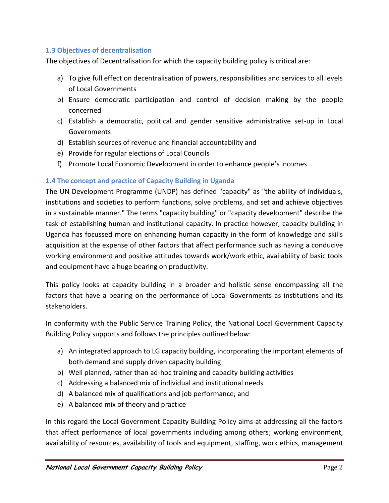# <span id="page-7-0"></span>**1.3 Objectives of decentralisation**

The objectives of Decentralisation for which the capacity building policy is critical are:

- a) To give full effect on decentralisation of powers, responsibilities and services to all levels of Local Governments
- b) Ensure democratic participation and control of decision making by the people concerned
- c) Establish a democratic, political and gender sensitive administrative set-up in Local Governments
- d) Establish sources of revenue and financial accountability and
- e) Provide for regular elections of Local Councils
- f) Promote Local Economic Development in order to enhance people's incomes

# <span id="page-7-1"></span>**1.4 The concept and practice of Capacity Building in Uganda**

The UN Development Programme (UNDP) has defined "capacity" as "the ability of individuals, institutions and societies to perform functions, solve problems, and set and achieve objectives in a sustainable manner." The terms "capacity building" or "capacity development" describe the task of establishing human and institutional capacity. In practice however, capacity building in Uganda has focussed more on enhancing human capacity in the form of knowledge and skills acquisition at the expense of other factors that affect performance such as having a conducive working environment and positive attitudes towards work/work ethic, availability of basic tools and equipment have a huge bearing on productivity.

This policy looks at capacity building in a broader and holistic sense encompassing all the factors that have a bearing on the performance of Local Governments as institutions and its stakeholders.

In conformity with the Public Service Training Policy, the National Local Government Capacity Building Policy supports and follows the principles outlined below:

- a) An integrated approach to LG capacity building, incorporating the important elements of both demand and supply driven capacity building
- b) Well planned, rather than ad-hoc training and capacity building activities
- c) Addressing a balanced mix of individual and institutional needs
- d) A balanced mix of qualifications and job performance; and
- e) A balanced mix of theory and practice

In this regard the Local Government Capacity Building Policy aims at addressing all the factors that affect performance of local governments including among others; working environment, availability of resources, availability of tools and equipment, staffing, work ethics, management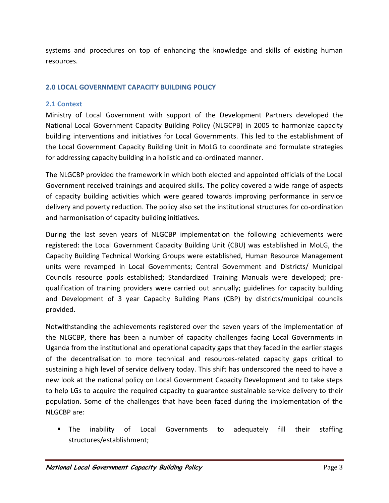systems and procedures on top of enhancing the knowledge and skills of existing human resources.

# <span id="page-8-0"></span>**2.0 LOCAL GOVERNMENT CAPACITY BUILDING POLICY**

# <span id="page-8-1"></span>**2.1 Context**

Ministry of Local Government with support of the Development Partners developed the National Local Government Capacity Building Policy (NLGCPB) in 2005 to harmonize capacity building interventions and initiatives for Local Governments. This led to the establishment of the Local Government Capacity Building Unit in MoLG to coordinate and formulate strategies for addressing capacity building in a holistic and co-ordinated manner.

The NLGCBP provided the framework in which both elected and appointed officials of the Local Government received trainings and acquired skills. The policy covered a wide range of aspects of capacity building activities which were geared towards improving performance in service delivery and poverty reduction. The policy also set the institutional structures for co-ordination and harmonisation of capacity building initiatives.

During the last seven years of NLGCBP implementation the following achievements were registered: the Local Government Capacity Building Unit (CBU) was established in MoLG, the Capacity Building Technical Working Groups were established, Human Resource Management units were revamped in Local Governments; Central Government and Districts/ Municipal Councils resource pools established; Standardized Training Manuals were developed; prequalification of training providers were carried out annually; guidelines for capacity building and Development of 3 year Capacity Building Plans (CBP) by districts/municipal councils provided.

Notwithstanding the achievements registered over the seven years of the implementation of the NLGCBP, there has been a number of capacity challenges facing Local Governments in Uganda from the institutional and operational capacity gaps that they faced in the earlier stages of the decentralisation to more technical and resources-related capacity gaps critical to sustaining a high level of service delivery today. This shift has underscored the need to have a new look at the national policy on Local Government Capacity Development and to take steps to help LGs to acquire the required capacity to guarantee sustainable service delivery to their population. Some of the challenges that have been faced during the implementation of the NLGCBP are:

 The inability of Local Governments to adequately fill their staffing structures/establishment;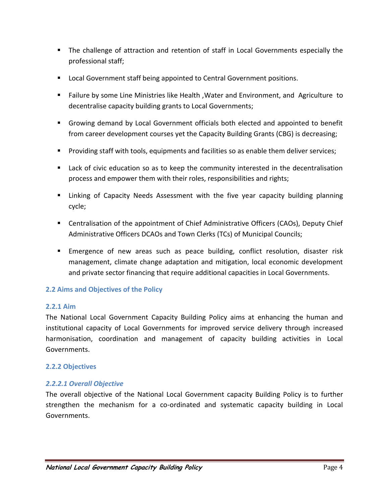- The challenge of attraction and retention of staff in Local Governments especially the professional staff;
- **Local Government staff being appointed to Central Government positions.**
- Failure by some Line Ministries like Health ,Water and Environment, and Agriculture to decentralise capacity building grants to Local Governments;
- Growing demand by Local Government officials both elected and appointed to benefit from career development courses yet the Capacity Building Grants (CBG) is decreasing;
- Providing staff with tools, equipments and facilities so as enable them deliver services;
- **Lack of civic education so as to keep the community interested in the decentralisation** process and empower them with their roles, responsibilities and rights;
- **EXT** Linking of Capacity Needs Assessment with the five year capacity building planning cycle;
- Centralisation of the appointment of Chief Administrative Officers (CAOs), Deputy Chief Administrative Officers DCAOs and Town Clerks (TCs) of Municipal Councils;
- **Emergence of new areas such as peace building, conflict resolution, disaster risk** management, climate change adaptation and mitigation, local economic development and private sector financing that require additional capacities in Local Governments.

# <span id="page-9-0"></span>**2.2 Aims and Objectives of the Policy**

# <span id="page-9-1"></span>**2.2.1 Aim**

The National Local Government Capacity Building Policy aims at enhancing the human and institutional capacity of Local Governments for improved service delivery through increased harmonisation, coordination and management of capacity building activities in Local Governments.

# <span id="page-9-2"></span>**2.2.2 Objectives**

# *2.2.2.1 Overall Objective*

The overall objective of the National Local Government capacity Building Policy is to further strengthen the mechanism for a co-ordinated and systematic capacity building in Local Governments.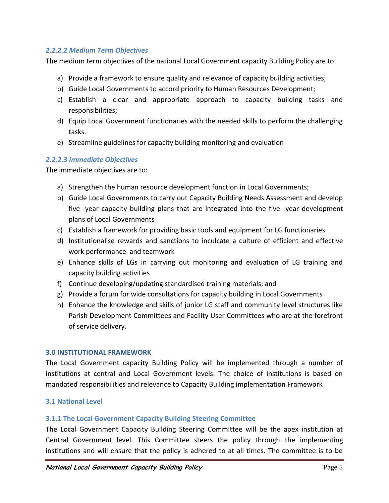## *2.2.2.2 Medium Term Objectives*

The medium term objectives of the national Local Government capacity Building Policy are to:

- a) Provide a framework to ensure quality and relevance of capacity building activities;
- b) Guide Local Governments to accord priority to Human Resources Development;
- c) Establish a clear and appropriate approach to capacity building tasks and responsibilities;
- d) Equip Local Government functionaries with the needed skills to perform the challenging tasks.
- e) Streamline guidelines for capacity building monitoring and evaluation

### *2.2.2.3 Immediate Objectives*

The immediate objectives are to:

- a) Strengthen the human resource development function in Local Governments;
- b) Guide Local Governments to carry out Capacity Building Needs Assessment and develop five -year capacity building plans that are integrated into the five -year development plans of Local Governments
- c) Establish a framework for providing basic tools and equipment for LG functionaries
- d) Institutionalise rewards and sanctions to inculcate a culture of efficient and effective work performance and teamwork
- e) Enhance skills of LGs in carrying out monitoring and evaluation of LG training and capacity building activities
- f) Continue developing/updating standardised training materials; and
- g) Provide a forum for wide consultations for capacity building in Local Governments
- h) Enhance the knowledge and skills of junior LG staff and community level structures like Parish Development Committees and Facility User Committees who are at the forefront of service delivery.

#### <span id="page-10-0"></span>**3.0 INSTITUTIONAL FRAMEWORK**

The Local Government capacity Building Policy will be implemented through a number of institutions at central and Local Government levels. The choice of institutions is based on mandated responsibilities and relevance to Capacity Building implementation Framework

#### <span id="page-10-1"></span>**3.1 National Level**

#### <span id="page-10-2"></span>**3.1.1 The Local Government Capacity Building Steering Committee**

The Local Government Capacity Building Steering Committee will be the apex institution at Central Government level. This Committee steers the policy through the implementing institutions and will ensure that the policy is adhered to at all times. The committee is to be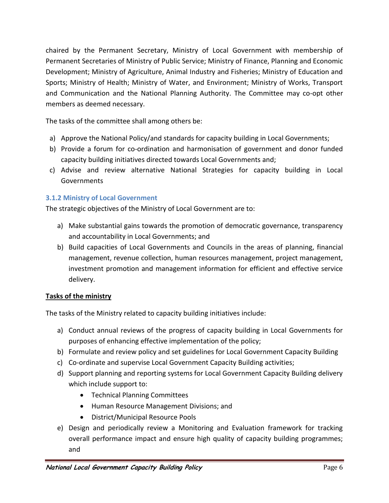chaired by the Permanent Secretary, Ministry of Local Government with membership of Permanent Secretaries of Ministry of Public Service; Ministry of Finance, Planning and Economic Development; Ministry of Agriculture, Animal Industry and Fisheries; Ministry of Education and Sports; Ministry of Health; Ministry of Water, and Environment; Ministry of Works, Transport and Communication and the National Planning Authority. The Committee may co-opt other members as deemed necessary.

The tasks of the committee shall among others be:

- a) Approve the National Policy/and standards for capacity building in Local Governments;
- b) Provide a forum for co-ordination and harmonisation of government and donor funded capacity building initiatives directed towards Local Governments and;
- c) Advise and review alternative National Strategies for capacity building in Local Governments

# <span id="page-11-0"></span>**3.1.2 Ministry of Local Government**

The strategic objectives of the Ministry of Local Government are to:

- a) Make substantial gains towards the promotion of democratic governance, transparency and accountability in Local Governments; and
- b) Build capacities of Local Governments and Councils in the areas of planning, financial management, revenue collection, human resources management, project management, investment promotion and management information for efficient and effective service delivery.

# **Tasks of the ministry**

The tasks of the Ministry related to capacity building initiatives include:

- a) Conduct annual reviews of the progress of capacity building in Local Governments for purposes of enhancing effective implementation of the policy;
- b) Formulate and review policy and set guidelines for Local Government Capacity Building
- c) Co-ordinate and supervise Local Government Capacity Building activities;
- d) Support planning and reporting systems for Local Government Capacity Building delivery which include support to:
	- **•** Technical Planning Committees
	- Human Resource Management Divisions; and
	- District/Municipal Resource Pools
- e) Design and periodically review a Monitoring and Evaluation framework for tracking overall performance impact and ensure high quality of capacity building programmes; and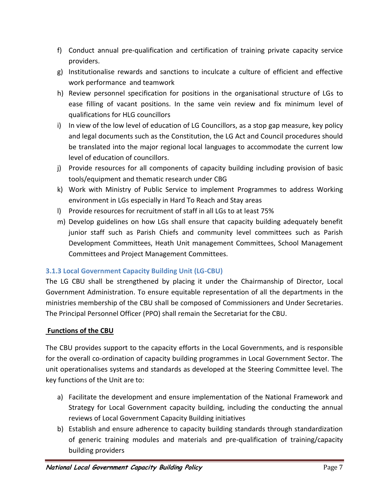- f) Conduct annual pre-qualification and certification of training private capacity service providers.
- g) Institutionalise rewards and sanctions to inculcate a culture of efficient and effective work performance and teamwork
- h) Review personnel specification for positions in the organisational structure of LGs to ease filling of vacant positions. In the same vein review and fix minimum level of qualifications for HLG councillors
- i) In view of the low level of education of LG Councillors, as a stop gap measure, key policy and legal documents such as the Constitution, the LG Act and Council procedures should be translated into the major regional local languages to accommodate the current low level of education of councillors.
- j) Provide resources for all components of capacity building including provision of basic tools/equipment and thematic research under CBG
- k) Work with Ministry of Public Service to implement Programmes to address Working environment in LGs especially in Hard To Reach and Stay areas
- l) Provide resources for recruitment of staff in all LGs to at least 75%
- m) Develop guidelines on how LGs shall ensure that capacity building adequately benefit junior staff such as Parish Chiefs and community level committees such as Parish Development Committees, Heath Unit management Committees, School Management Committees and Project Management Committees.

# <span id="page-12-0"></span>**3.1.3 Local Government Capacity Building Unit (LG-CBU)**

The LG CBU shall be strengthened by placing it under the Chairmanship of Director, Local Government Administration. To ensure equitable representation of all the departments in the ministries membership of the CBU shall be composed of Commissioners and Under Secretaries. The Principal Personnel Officer (PPO) shall remain the Secretariat for the CBU.

# **Functions of the CBU**

The CBU provides support to the capacity efforts in the Local Governments, and is responsible for the overall co-ordination of capacity building programmes in Local Government Sector. The unit operationalises systems and standards as developed at the Steering Committee level. The key functions of the Unit are to:

- a) Facilitate the development and ensure implementation of the National Framework and Strategy for Local Government capacity building, including the conducting the annual reviews of Local Government Capacity Building initiatives
- b) Establish and ensure adherence to capacity building standards through standardization of generic training modules and materials and pre-qualification of training/capacity building providers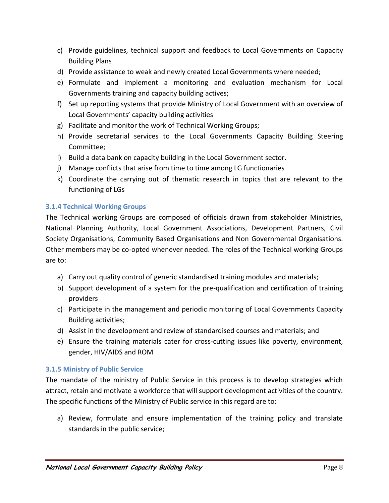- c) Provide guidelines, technical support and feedback to Local Governments on Capacity Building Plans
- d) Provide assistance to weak and newly created Local Governments where needed;
- e) Formulate and implement a monitoring and evaluation mechanism for Local Governments training and capacity building actives;
- f) Set up reporting systems that provide Ministry of Local Government with an overview of Local Governments' capacity building activities
- g) Facilitate and monitor the work of Technical Working Groups;
- h) Provide secretarial services to the Local Governments Capacity Building Steering Committee;
- i) Build a data bank on capacity building in the Local Government sector.
- j) Manage conflicts that arise from time to time among LG functionaries
- k) Coordinate the carrying out of thematic research in topics that are relevant to the functioning of LGs

# <span id="page-13-0"></span>**3.1.4 Technical Working Groups**

The Technical working Groups are composed of officials drawn from stakeholder Ministries, National Planning Authority, Local Government Associations, Development Partners, Civil Society Organisations, Community Based Organisations and Non Governmental Organisations. Other members may be co-opted whenever needed. The roles of the Technical working Groups are to:

- a) Carry out quality control of generic standardised training modules and materials;
- b) Support development of a system for the pre-qualification and certification of training providers
- c) Participate in the management and periodic monitoring of Local Governments Capacity Building activities;
- d) Assist in the development and review of standardised courses and materials; and
- e) Ensure the training materials cater for cross-cutting issues like poverty, environment, gender, HIV/AIDS and ROM

# <span id="page-13-1"></span>**3.1.5 Ministry of Public Service**

The mandate of the ministry of Public Service in this process is to develop strategies which attract, retain and motivate a workforce that will support development activities of the country. The specific functions of the Ministry of Public service in this regard are to:

a) Review, formulate and ensure implementation of the training policy and translate standards in the public service;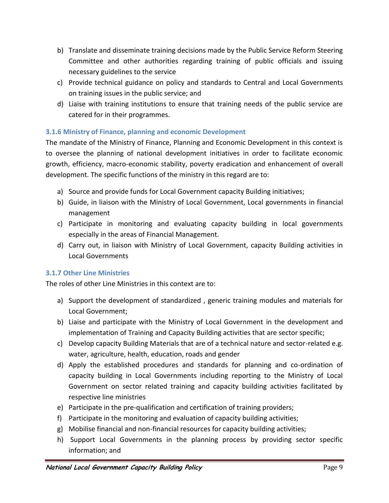- b) Translate and disseminate training decisions made by the Public Service Reform Steering Committee and other authorities regarding training of public officials and issuing necessary guidelines to the service
- c) Provide technical guidance on policy and standards to Central and Local Governments on training issues in the public service; and
- d) Liaise with training institutions to ensure that training needs of the public service are catered for in their programmes.

# <span id="page-14-0"></span>**3.1.6 Ministry of Finance, planning and economic Development**

The mandate of the Ministry of Finance, Planning and Economic Development in this context is to oversee the planning of national development initiatives in order to facilitate economic growth, efficiency, macro-economic stability, poverty eradication and enhancement of overall development. The specific functions of the ministry in this regard are to:

- a) Source and provide funds for Local Government capacity Building initiatives;
- b) Guide, in liaison with the Ministry of Local Government, Local governments in financial management
- c) Participate in monitoring and evaluating capacity building in local governments especially in the areas of Financial Management.
- d) Carry out, in liaison with Ministry of Local Government, capacity Building activities in Local Governments

# <span id="page-14-1"></span>**3.1.7 Other Line Ministries**

The roles of other Line Ministries in this context are to:

- a) Support the development of standardized , generic training modules and materials for Local Government;
- b) Liaise and participate with the Ministry of Local Government in the development and implementation of Training and Capacity Building activities that are sector specific;
- c) Develop capacity Building Materials that are of a technical nature and sector-related e.g. water, agriculture, health, education, roads and gender
- d) Apply the established procedures and standards for planning and co-ordination of capacity building in Local Governments including reporting to the Ministry of Local Government on sector related training and capacity building activities facilitated by respective line ministries
- e) Participate in the pre-qualification and certification of training providers;
- f) Participate in the monitoring and evaluation of capacity building activities;
- g) Mobilise financial and non-financial resources for capacity building activities;
- h) Support Local Governments in the planning process by providing sector specific information; and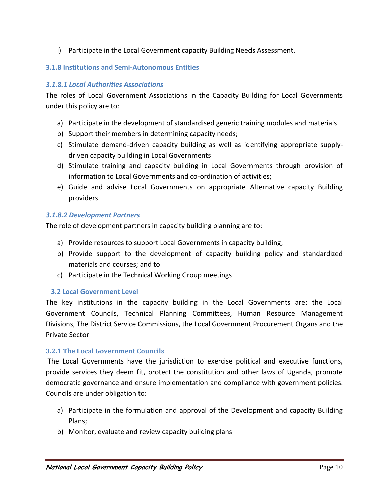i) Participate in the Local Government capacity Building Needs Assessment.

# <span id="page-15-0"></span>**3.1.8 Institutions and Semi-Autonomous Entities**

# *3.1.8.1 Local Authorities Associations*

The roles of Local Government Associations in the Capacity Building for Local Governments under this policy are to:

- a) Participate in the development of standardised generic training modules and materials
- b) Support their members in determining capacity needs;
- c) Stimulate demand-driven capacity building as well as identifying appropriate supplydriven capacity building in Local Governments
- d) Stimulate training and capacity building in Local Governments through provision of information to Local Governments and co-ordination of activities;
- e) Guide and advise Local Governments on appropriate Alternative capacity Building providers.

# *3.1.8.2 Development Partners*

The role of development partners in capacity building planning are to:

- a) Provide resources to support Local Governments in capacity building;
- b) Provide support to the development of capacity building policy and standardized materials and courses; and to
- c) Participate in the Technical Working Group meetings

# <span id="page-15-1"></span> **3.2 Local Government Level**

The key institutions in the capacity building in the Local Governments are: the Local Government Councils, Technical Planning Committees, Human Resource Management Divisions, The District Service Commissions, the Local Government Procurement Organs and the Private Sector

# <span id="page-15-2"></span>**3.2.1 The Local Government Councils**

The Local Governments have the jurisdiction to exercise political and executive functions, provide services they deem fit, protect the constitution and other laws of Uganda, promote democratic governance and ensure implementation and compliance with government policies. Councils are under obligation to:

- a) Participate in the formulation and approval of the Development and capacity Building Plans;
- b) Monitor, evaluate and review capacity building plans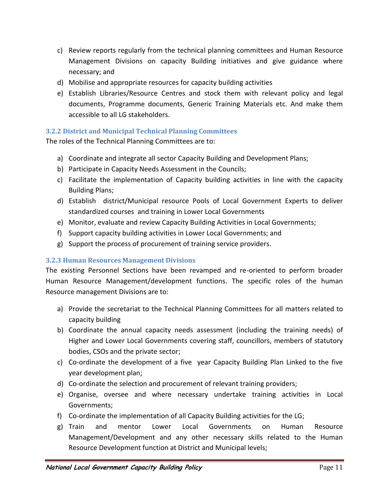- c) Review reports regularly from the technical planning committees and Human Resource Management Divisions on capacity Building initiatives and give guidance where necessary; and
- d) Mobilise and appropriate resources for capacity building activities
- e) Establish Libraries/Resource Centres and stock them with relevant policy and legal documents, Programme documents, Generic Training Materials etc. And make them accessible to all LG stakeholders.

# <span id="page-16-0"></span>**3.2.2 District and Municipal Technical Planning Committees**

The roles of the Technical Planning Committees are to:

- a) Coordinate and integrate all sector Capacity Building and Development Plans;
- b) Participate in Capacity Needs Assessment in the Councils;
- c) Facilitate the implementation of Capacity building activities in line with the capacity Building Plans;
- d) Establish district/Municipal resource Pools of Local Government Experts to deliver standardized courses and training in Lower Local Governments
- e) Monitor, evaluate and review Capacity Building Activities in Local Governments;
- f) Support capacity building activities in Lower Local Governments; and
- g) Support the process of procurement of training service providers.

#### <span id="page-16-1"></span>**3.2.3 Human Resources Management Divisions**

The existing Personnel Sections have been revamped and re-oriented to perform broader Human Resource Management/development functions. The specific roles of the human Resource management Divisions are to:

- a) Provide the secretariat to the Technical Planning Committees for all matters related to capacity building
- b) Coordinate the annual capacity needs assessment (including the training needs) of Higher and Lower Local Governments covering staff, councillors, members of statutory bodies, CSOs and the private sector;
- c) Co-ordinate the development of a five year Capacity Building Plan Linked to the five year development plan;
- d) Co-ordinate the selection and procurement of relevant training providers;
- e) Organise, oversee and where necessary undertake training activities in Local Governments;
- f) Co-ordinate the implementation of all Capacity Building activities for the LG;
- g) Train and mentor Lower Local Governments on Human Resource Management/Development and any other necessary skills related to the Human Resource Development function at District and Municipal levels;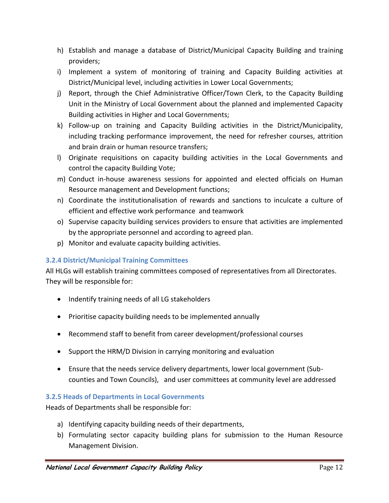- h) Establish and manage a database of District/Municipal Capacity Building and training providers;
- i) Implement a system of monitoring of training and Capacity Building activities at District/Municipal level, including activities in Lower Local Governments;
- j) Report, through the Chief Administrative Officer/Town Clerk, to the Capacity Building Unit in the Ministry of Local Government about the planned and implemented Capacity Building activities in Higher and Local Governments;
- k) Follow-up on training and Capacity Building activities in the District/Municipality, including tracking performance improvement, the need for refresher courses, attrition and brain drain or human resource transfers;
- l) Originate requisitions on capacity building activities in the Local Governments and control the capacity Building Vote;
- m) Conduct in-house awareness sessions for appointed and elected officials on Human Resource management and Development functions;
- n) Coordinate the institutionalisation of rewards and sanctions to inculcate a culture of efficient and effective work performance and teamwork
- o) Supervise capacity building services providers to ensure that activities are implemented by the appropriate personnel and according to agreed plan.
- p) Monitor and evaluate capacity building activities.

# <span id="page-17-0"></span>**3.2.4 District/Municipal Training Committees**

All HLGs will establish training committees composed of representatives from all Directorates. They will be responsible for:

- Indentify training needs of all LG stakeholders
- Prioritise capacity building needs to be implemented annually
- Recommend staff to benefit from career development/professional courses
- Support the HRM/D Division in carrying monitoring and evaluation
- Ensure that the needs service delivery departments, lower local government (Subcounties and Town Councils), and user committees at community level are addressed

# <span id="page-17-1"></span>**3.2.5 Heads of Departments in Local Governments**

Heads of Departments shall be responsible for:

- a) Identifying capacity building needs of their departments,
- b) Formulating sector capacity building plans for submission to the Human Resource Management Division.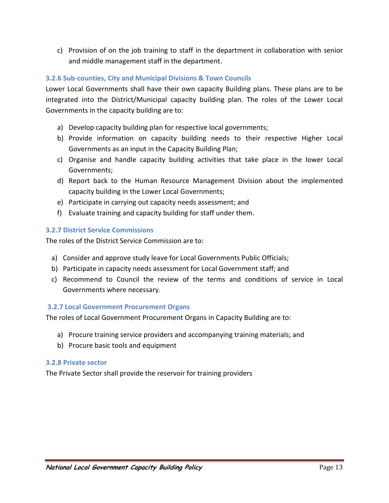c) Provision of on the job training to staff in the department in collaboration with senior and middle management staff in the department.

# <span id="page-18-0"></span>**3.2.6 Sub-counties, City and Municipal Divisions & Town Councils**

Lower Local Governments shall have their own capacity Building plans. These plans are to be integrated into the District/Municipal capacity building plan. The roles of the Lower Local Governments in the capacity building are to:

- a) Develop capacity building plan for respective local governments;
- b) Provide information on capacity building needs to their respective Higher Local Governments as an input in the Capacity Building Plan;
- c) Organise and handle capacity building activities that take place in the lower Local Governments;
- d) Report back to the Human Resource Management Division about the implemented capacity building in the Lower Local Governments;
- e) Participate in carrying out capacity needs assessment; and
- f) Evaluate training and capacity building for staff under them.

# <span id="page-18-1"></span>**3.2.7 District Service Commissions**

The roles of the District Service Commission are to:

- a) Consider and approve study leave for Local Governments Public Officials;
- b) Participate in capacity needs assessment for Local Government staff; and
- c) Recommend to Council the review of the terms and conditions of service in Local Governments where necessary.

# <span id="page-18-2"></span>**3.2.7 Local Government Procurement Organs**

The roles of Local Government Procurement Organs in Capacity Building are to:

- a) Procure training service providers and accompanying training materials; and
- b) Procure basic tools and equipment

# <span id="page-18-3"></span>**3.2.8 Private sector**

The Private Sector shall provide the reservoir for training providers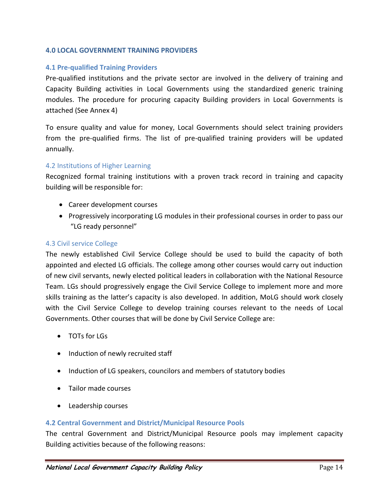#### **4.0 LOCAL GOVERNMENT TRAINING PROVIDERS**

#### <span id="page-19-0"></span>**4.1 Pre-qualified Training Providers**

Pre-qualified institutions and the private sector are involved in the delivery of training and Capacity Building activities in Local Governments using the standardized generic training modules. The procedure for procuring capacity Building providers in Local Governments is attached (See Annex 4)

To ensure quality and value for money, Local Governments should select training providers from the pre-qualified firms. The list of pre-qualified training providers will be updated annually.

#### <span id="page-19-1"></span>4.2 Institutions of Higher Learning

Recognized formal training institutions with a proven track record in training and capacity building will be responsible for:

- Career development courses
- Progressively incorporating LG modules in their professional courses in order to pass our "LG ready personnel"

#### <span id="page-19-2"></span>4.3 Civil service College

The newly established Civil Service College should be used to build the capacity of both appointed and elected LG officials. The college among other courses would carry out induction of new civil servants, newly elected political leaders in collaboration with the National Resource Team. LGs should progressively engage the Civil Service College to implement more and more skills training as the latter's capacity is also developed. In addition, MoLG should work closely with the Civil Service College to develop training courses relevant to the needs of Local Governments. Other courses that will be done by Civil Service College are:

- TOTs for LGs
- Induction of newly recruited staff
- Induction of LG speakers, councilors and members of statutory bodies
- Tailor made courses
- Leadership courses

#### <span id="page-19-3"></span>**4.2 Central Government and District/Municipal Resource Pools**

The central Government and District/Municipal Resource pools may implement capacity Building activities because of the following reasons: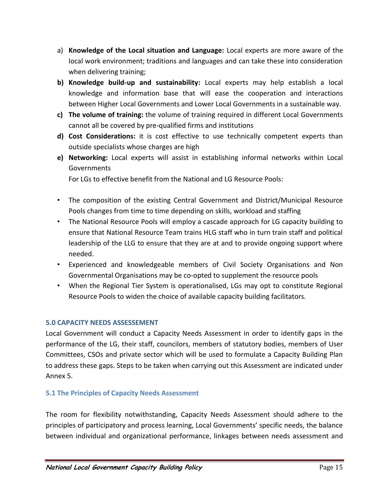- a) **Knowledge of the Local situation and Language:** Local experts are more aware of the local work environment; traditions and languages and can take these into consideration when delivering training;
- **b) Knowledge build-up and sustainability:** Local experts may help establish a local knowledge and information base that will ease the cooperation and interactions between Higher Local Governments and Lower Local Governments in a sustainable way.
- **c) The volume of training:** the volume of training required in different Local Governments cannot all be covered by pre-qualified firms and institutions
- **d) Cost Considerations:** it is cost effective to use technically competent experts than outside specialists whose charges are high
- **e) Networking:** Local experts will assist in establishing informal networks within Local **Governments**

For LGs to effective benefit from the National and LG Resource Pools:

- The composition of the existing Central Government and District/Municipal Resource Pools changes from time to time depending on skills, workload and staffing
- The National Resource Pools will employ a cascade approach for LG capacity building to ensure that National Resource Team trains HLG staff who in turn train staff and political leadership of the LLG to ensure that they are at and to provide ongoing support where needed.
- Experienced and knowledgeable members of Civil Society Organisations and Non Governmental Organisations may be co-opted to supplement the resource pools
- When the Regional Tier System is operationalised, LGs may opt to constitute Regional Resource Pools to widen the choice of available capacity building facilitators.

# <span id="page-20-0"></span>**5.0 CAPACITY NEEDS ASSESSEMENT**

Local Government will conduct a Capacity Needs Assessment in order to identify gaps in the performance of the LG, their staff, councilors, members of statutory bodies, members of User Committees, CSOs and private sector which will be used to formulate a Capacity Building Plan to address these gaps. Steps to be taken when carrying out this Assessment are indicated under Annex 5.

# <span id="page-20-1"></span>**5.1 The Principles of Capacity Needs Assessment**

The room for flexibility notwithstanding, Capacity Needs Assessment should adhere to the principles of participatory and process learning, Local Governments' specific needs, the balance between individual and organizational performance, linkages between needs assessment and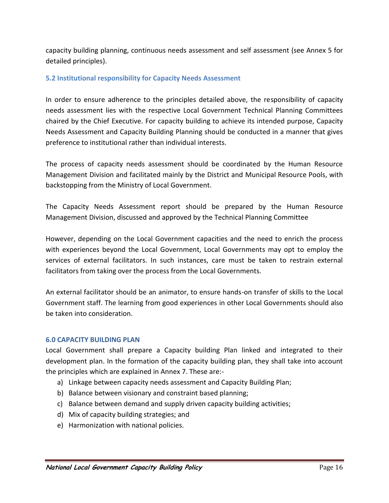capacity building planning, continuous needs assessment and self assessment (see Annex 5 for detailed principles).

## <span id="page-21-0"></span>**5.2 Institutional responsibility for Capacity Needs Assessment**

In order to ensure adherence to the principles detailed above, the responsibility of capacity needs assessment lies with the respective Local Government Technical Planning Committees chaired by the Chief Executive. For capacity building to achieve its intended purpose, Capacity Needs Assessment and Capacity Building Planning should be conducted in a manner that gives preference to institutional rather than individual interests.

The process of capacity needs assessment should be coordinated by the Human Resource Management Division and facilitated mainly by the District and Municipal Resource Pools, with backstopping from the Ministry of Local Government.

The Capacity Needs Assessment report should be prepared by the Human Resource Management Division, discussed and approved by the Technical Planning Committee

However, depending on the Local Government capacities and the need to enrich the process with experiences beyond the Local Government, Local Governments may opt to employ the services of external facilitators. In such instances, care must be taken to restrain external facilitators from taking over the process from the Local Governments.

An external facilitator should be an animator, to ensure hands-on transfer of skills to the Local Government staff. The learning from good experiences in other Local Governments should also be taken into consideration.

#### <span id="page-21-1"></span>**6.0 CAPACITY BUILDING PLAN**

Local Government shall prepare a Capacity building Plan linked and integrated to their development plan. In the formation of the capacity building plan, they shall take into account the principles which are explained in Annex 7. These are:-

- a) Linkage between capacity needs assessment and Capacity Building Plan;
- b) Balance between visionary and constraint based planning;
- c) Balance between demand and supply driven capacity building activities;
- d) Mix of capacity building strategies; and
- e) Harmonization with national policies.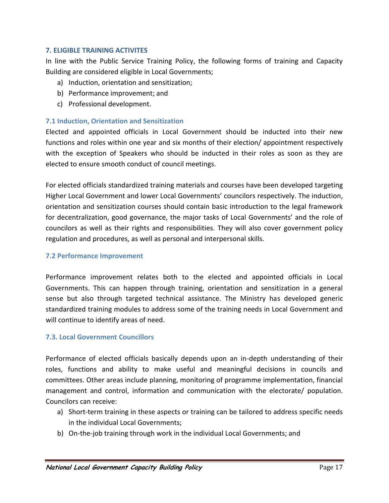### **7. ELIGIBLE TRAINING ACTIVITES**

<span id="page-22-0"></span>In line with the Public Service Training Policy, the following forms of training and Capacity Building are considered eligible in Local Governments;

- a) Induction, orientation and sensitization;
- b) Performance improvement; and
- c) Professional development.

## <span id="page-22-1"></span>**7.1 Induction, Orientation and Sensitization**

Elected and appointed officials in Local Government should be inducted into their new functions and roles within one year and six months of their election/ appointment respectively with the exception of Speakers who should be inducted in their roles as soon as they are elected to ensure smooth conduct of council meetings.

For elected officials standardized training materials and courses have been developed targeting Higher Local Government and lower Local Governments' councilors respectively. The induction, orientation and sensitization courses should contain basic introduction to the legal framework for decentralization, good governance, the major tasks of Local Governments' and the role of councilors as well as their rights and responsibilities. They will also cover government policy regulation and procedures, as well as personal and interpersonal skills.

#### <span id="page-22-2"></span>**7.2 Performance Improvement**

Performance improvement relates both to the elected and appointed officials in Local Governments. This can happen through training, orientation and sensitization in a general sense but also through targeted technical assistance. The Ministry has developed generic standardized training modules to address some of the training needs in Local Government and will continue to identify areas of need.

#### <span id="page-22-3"></span>**7.3. Local Government Councillors**

Performance of elected officials basically depends upon an in-depth understanding of their roles, functions and ability to make useful and meaningful decisions in councils and committees. Other areas include planning, monitoring of programme implementation, financial management and control, information and communication with the electorate/ population. Councilors can receive:

- a) Short-term training in these aspects or training can be tailored to address specific needs in the individual Local Governments;
- b) On-the-job training through work in the individual Local Governments; and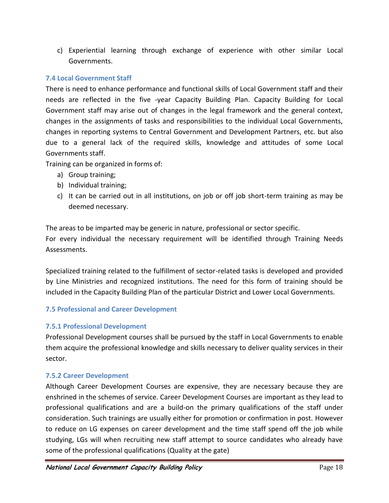c) Experiential learning through exchange of experience with other similar Local Governments.

# <span id="page-23-0"></span>**7.4 Local Government Staff**

There is need to enhance performance and functional skills of Local Government staff and their needs are reflected in the five -year Capacity Building Plan. Capacity Building for Local Government staff may arise out of changes in the legal framework and the general context, changes in the assignments of tasks and responsibilities to the individual Local Governments, changes in reporting systems to Central Government and Development Partners, etc. but also due to a general lack of the required skills, knowledge and attitudes of some Local Governments staff.

Training can be organized in forms of:

- a) Group training;
- b) Individual training;
- c) It can be carried out in all institutions, on job or off job short-term training as may be deemed necessary.

The areas to be imparted may be generic in nature, professional or sector specific. For every individual the necessary requirement will be identified through Training Needs Assessments.

Specialized training related to the fulfillment of sector-related tasks is developed and provided by Line Ministries and recognized institutions. The need for this form of training should be included in the Capacity Building Plan of the particular District and Lower Local Governments.

# <span id="page-23-1"></span>**7.5 Professional and Career Development**

# <span id="page-23-2"></span>**7.5.1 Professional Development**

Professional Development courses shall be pursued by the staff in Local Governments to enable them acquire the professional knowledge and skills necessary to deliver quality services in their sector.

# <span id="page-23-3"></span>**7.5.2 Career Development**

Although Career Development Courses are expensive, they are necessary because they are enshrined in the schemes of service. Career Development Courses are important as they lead to professional qualifications and are a build-on the primary qualifications of the staff under consideration. Such trainings are usually either for promotion or confirmation in post. However to reduce on LG expenses on career development and the time staff spend off the job while studying, LGs will when recruiting new staff attempt to source candidates who already have some of the professional qualifications (Quality at the gate)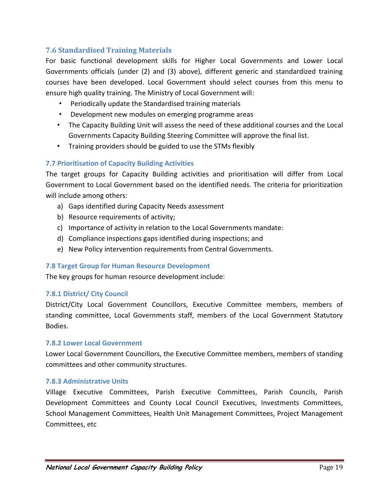# **7.6 Standardised Training Materials**

<span id="page-24-0"></span>For basic functional development skills for Higher Local Governments and Lower Local Governments officials (under (2) and (3) above), different generic and standardized training courses have been developed. Local Government should select courses from this menu to ensure high quality training. The Ministry of Local Government will:

- Periodically update the Standardised training materials
- Development new modules on emerging programme areas
- The Capacity Building Unit will assess the need of these additional courses and the Local Governments Capacity Building Steering Committee will approve the final list.
- Training providers should be guided to use the STMs flexibly

# <span id="page-24-1"></span>**7.7 Prioritisation of Capacity Building Activities**

The target groups for Capacity Building activities and prioritisation will differ from Local Government to Local Government based on the identified needs. The criteria for prioritization will include among others:

- a) Gaps identified during Capacity Needs assessment
- b) Resource requirements of activity;
- c) Importance of activity in relation to the Local Governments mandate:
- d) Compliance inspections gaps identified during inspections; and
- e) New Policy intervention requirements from Central Governments.

# <span id="page-24-2"></span>**7.8 Target Group for Human Resource Development**

The key groups for human resource development include:

# <span id="page-24-3"></span>**7.8.1 District/ City Council**

District/City Local Government Councillors, Executive Committee members, members of standing committee, Local Governments staff, members of the Local Government Statutory Bodies.

#### <span id="page-24-4"></span>**7.8.2 Lower Local Government**

Lower Local Government Councillors, the Executive Committee members, members of standing committees and other community structures.

### <span id="page-24-5"></span>**7.8.3 Administrative Units**

Village Executive Committees, Parish Executive Committees, Parish Councils, Parish Development Committees and County Local Council Executives, Investments Committees, School Management Committees, Health Unit Management Committees, Project Management Committees, etc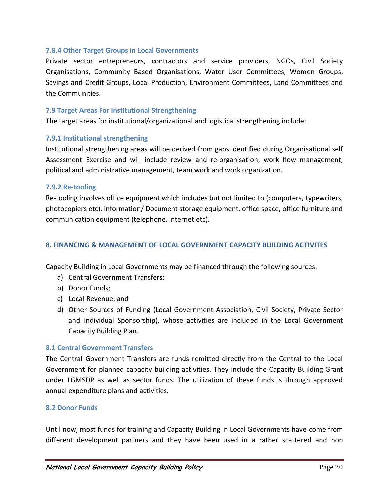#### <span id="page-25-0"></span>**7.8.4 Other Target Groups in Local Governments**

Private sector entrepreneurs, contractors and service providers, NGOs, Civil Society Organisations, Community Based Organisations, Water User Committees, Women Groups, Savings and Credit Groups, Local Production, Environment Committees, Land Committees and the Communities.

#### <span id="page-25-1"></span>**7.9 Target Areas For Institutional Strengthening**

The target areas for institutional/organizational and logistical strengthening include:

#### <span id="page-25-2"></span>**7.9.1 Institutional strengthening**

Institutional strengthening areas will be derived from gaps identified during Organisational self Assessment Exercise and will include review and re-organisation, work flow management, political and administrative management, team work and work organization.

#### <span id="page-25-3"></span>**7.9.2 Re-tooling**

Re-tooling involves office equipment which includes but not limited to (computers, typewriters, photocopiers etc), information/ Document storage equipment, office space, office furniture and communication equipment (telephone, internet etc).

#### <span id="page-25-4"></span>**8. FINANCING & MANAGEMENT OF LOCAL GOVERNMENT CAPACITY BUILDING ACTIVITES**

Capacity Building in Local Governments may be financed through the following sources:

- a) Central Government Transfers;
- b) Donor Funds;
- c) Local Revenue; and
- d) Other Sources of Funding (Local Government Association, Civil Society, Private Sector and Individual Sponsorship), whose activities are included in the Local Government Capacity Building Plan.

#### <span id="page-25-5"></span>**8.1 Central Government Transfers**

The Central Government Transfers are funds remitted directly from the Central to the Local Government for planned capacity building activities. They include the Capacity Building Grant under LGMSDP as well as sector funds. The utilization of these funds is through approved annual expenditure plans and activities.

#### <span id="page-25-6"></span>**8.2 Donor Funds**

Until now, most funds for training and Capacity Building in Local Governments have come from different development partners and they have been used in a rather scattered and non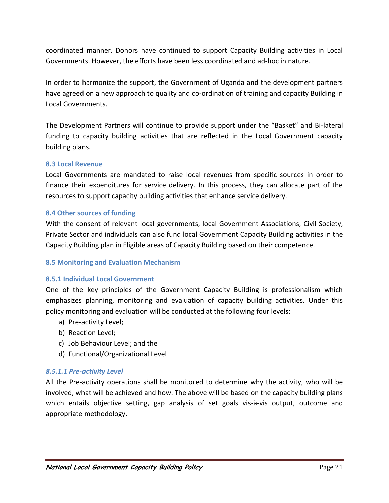coordinated manner. Donors have continued to support Capacity Building activities in Local Governments. However, the efforts have been less coordinated and ad-hoc in nature.

In order to harmonize the support, the Government of Uganda and the development partners have agreed on a new approach to quality and co-ordination of training and capacity Building in Local Governments.

The Development Partners will continue to provide support under the "Basket" and Bi-lateral funding to capacity building activities that are reflected in the Local Government capacity building plans.

### <span id="page-26-0"></span>**8.3 Local Revenue**

Local Governments are mandated to raise local revenues from specific sources in order to finance their expenditures for service delivery. In this process, they can allocate part of the resources to support capacity building activities that enhance service delivery.

### <span id="page-26-1"></span>**8.4 Other sources of funding**

With the consent of relevant local governments, local Government Associations, Civil Society, Private Sector and individuals can also fund local Government Capacity Building activities in the Capacity Building plan in Eligible areas of Capacity Building based on their competence.

#### <span id="page-26-2"></span>**8.5 Monitoring and Evaluation Mechanism**

#### <span id="page-26-3"></span>**8.5.1 Individual Local Government**

One of the key principles of the Government Capacity Building is professionalism which emphasizes planning, monitoring and evaluation of capacity building activities. Under this policy monitoring and evaluation will be conducted at the following four levels:

- a) Pre-activity Level;
- b) Reaction Level;
- c) Job Behaviour Level; and the
- d) Functional/Organizational Level

# *8.5.1.1 Pre-activity Level*

All the Pre-activity operations shall be monitored to determine why the activity, who will be involved, what will be achieved and how. The above will be based on the capacity building plans which entails objective setting, gap analysis of set goals vis-à-vis output, outcome and appropriate methodology.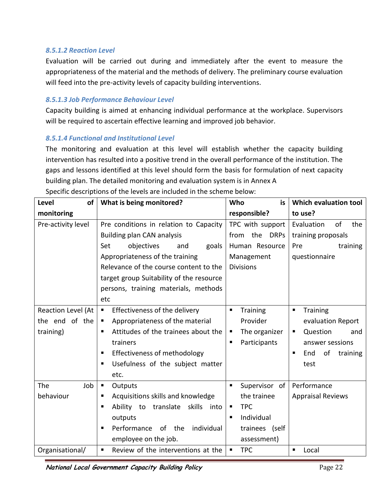# *8.5.1.2 Reaction Level*

Evaluation will be carried out during and immediately after the event to measure the appropriateness of the material and the methods of delivery. The preliminary course evaluation will feed into the pre-activity levels of capacity building interventions.

### *8.5.1.3 Job Performance Behaviour Level*

Capacity building is aimed at enhancing individual performance at the workplace. Supervisors will be required to ascertain effective learning and improved job behavior.

### *8.5.1.4 Functional and Institutional Level*

The monitoring and evaluation at this level will establish whether the capacity building intervention has resulted into a positive trend in the overall performance of the institution. The gaps and lessons identified at this level should form the basis for formulation of next capacity building plan. The detailed monitoring and evaluation system is in Annex A Specific descriptions of the levels are included in the scheme below:

| Level<br>of                                       | What is being monitored?                                                                                                                                                                                                              | Who<br>is                                                                                                | Which evaluation tool                                                                                                                   |
|---------------------------------------------------|---------------------------------------------------------------------------------------------------------------------------------------------------------------------------------------------------------------------------------------|----------------------------------------------------------------------------------------------------------|-----------------------------------------------------------------------------------------------------------------------------------------|
| monitoring                                        |                                                                                                                                                                                                                                       | responsible?                                                                                             | to use?                                                                                                                                 |
| Pre-activity level                                | Pre conditions in relation to Capacity<br><b>Building plan CAN analysis</b><br>objectives<br>goals<br>Set<br>and                                                                                                                      | TPC with support<br>the DRPs<br>from<br>Human Resource                                                   | Evaluation<br>of<br>the<br>training proposals<br>training<br>Pre                                                                        |
|                                                   | Appropriateness of the training<br>Relevance of the course content to the<br>target group Suitability of the resource<br>persons, training materials, methods<br>etc                                                                  | Management<br><b>Divisions</b>                                                                           | questionnaire                                                                                                                           |
| Reaction Level (At<br>the end of the<br>training) | Effectiveness of the delivery<br>$\blacksquare$<br>Appropriateness of the material<br>п<br>Attitudes of the trainees about the<br>٠<br>trainers<br>Effectiveness of methodology<br>٠<br>Usefulness of the subject matter<br>п<br>etc. | <b>Training</b><br>$\blacksquare$<br>Provider<br>The organizer<br>п<br>Participants<br>п                 | <b>Training</b><br>$\blacksquare$<br>evaluation Report<br>Question<br>٠<br>and<br>answer sessions<br>End<br>of<br>training<br>п<br>test |
| The<br>Job<br>behaviour                           | ٠<br>Outputs<br>Acquisitions skills and knowledge<br>П<br>Ability to translate skills<br>п<br>into<br>outputs<br>Performance<br>of the<br>individual<br>п<br>employee on the job.                                                     | Supervisor of<br>п<br>the trainee<br><b>TPC</b><br>п<br>Individual<br>п<br>trainees (self<br>assessment) | Performance<br><b>Appraisal Reviews</b>                                                                                                 |
| Organisational/                                   | Review of the interventions at the<br>$\blacksquare$                                                                                                                                                                                  | <b>TPC</b><br>п                                                                                          | $\blacksquare$<br>Local                                                                                                                 |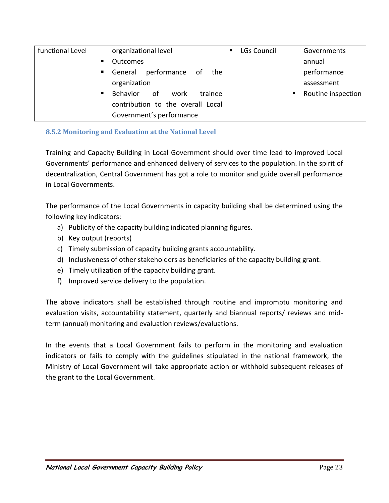| functional Level | organizational level              | <b>LGs Council</b><br>п | Governments             |
|------------------|-----------------------------------|-------------------------|-------------------------|
|                  | <b>Outcomes</b>                   |                         | annual                  |
|                  | General performance of<br>the     |                         | performance             |
|                  | organization                      |                         | assessment              |
|                  | Behavior of<br>trainee<br>work    |                         | Routine inspection<br>п |
|                  | contribution to the overall Local |                         |                         |
|                  | Government's performance          |                         |                         |

# <span id="page-28-0"></span>**8.5.2 Monitoring and Evaluation at the National Level**

Training and Capacity Building in Local Government should over time lead to improved Local Governments' performance and enhanced delivery of services to the population. In the spirit of decentralization, Central Government has got a role to monitor and guide overall performance in Local Governments.

The performance of the Local Governments in capacity building shall be determined using the following key indicators:

- a) Publicity of the capacity building indicated planning figures.
- b) Key output (reports)
- c) Timely submission of capacity building grants accountability.
- d) Inclusiveness of other stakeholders as beneficiaries of the capacity building grant.
- e) Timely utilization of the capacity building grant.
- f) Improved service delivery to the population.

The above indicators shall be established through routine and impromptu monitoring and evaluation visits, accountability statement, quarterly and biannual reports/ reviews and midterm (annual) monitoring and evaluation reviews/evaluations.

In the events that a Local Government fails to perform in the monitoring and evaluation indicators or fails to comply with the guidelines stipulated in the national framework, the Ministry of Local Government will take appropriate action or withhold subsequent releases of the grant to the Local Government.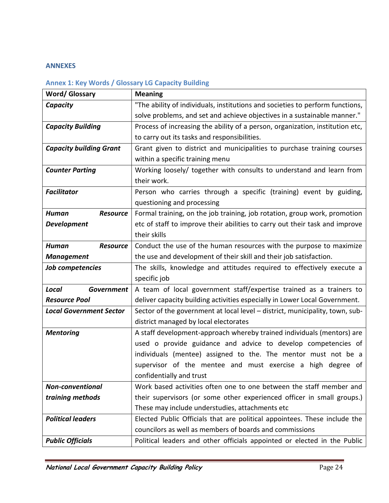#### <span id="page-29-0"></span>**ANNEXES**

# <span id="page-29-1"></span>**Annex 1: Key Words / Glossary LG Capacity Building**

| <b>Word/Glossary</b>            | <b>Meaning</b>                                                                |
|---------------------------------|-------------------------------------------------------------------------------|
| Capacity                        | "The ability of individuals, institutions and societies to perform functions, |
|                                 | solve problems, and set and achieve objectives in a sustainable manner."      |
| <b>Capacity Building</b>        | Process of increasing the ability of a person, organization, institution etc, |
|                                 | to carry out its tasks and responsibilities.                                  |
| <b>Capacity building Grant</b>  | Grant given to district and municipalities to purchase training courses       |
|                                 | within a specific training menu                                               |
| <b>Counter Parting</b>          | Working loosely/ together with consults to understand and learn from          |
|                                 | their work.                                                                   |
| <b>Facilitator</b>              | Person who carries through a specific (training) event by guiding,            |
|                                 | questioning and processing                                                    |
| <b>Human</b><br><b>Resource</b> | Formal training, on the job training, job rotation, group work, promotion     |
| <b>Development</b>              | etc of staff to improve their abilities to carry out their task and improve   |
|                                 | their skills                                                                  |
| <b>Human</b><br><b>Resource</b> | Conduct the use of the human resources with the purpose to maximize           |
| <b>Management</b>               | the use and development of their skill and their job satisfaction.            |
| Job competencies                | The skills, knowledge and attitudes required to effectively execute a         |
|                                 | specific job                                                                  |
| Local<br><b>Government</b>      | A team of local government staff/expertise trained as a trainers to           |
| <b>Resource Pool</b>            | deliver capacity building activities especially in Lower Local Government.    |
| <b>Local Government Sector</b>  | Sector of the government at local level – district, municipality, town, sub-  |
|                                 | district managed by local electorates                                         |
| <b>Mentoring</b>                | A staff development-approach whereby trained individuals (mentors) are        |
|                                 | used o provide guidance and advice to develop competencies of                 |
|                                 | individuals (mentee) assigned to the. The mentor must not be a                |
|                                 | supervisor of the mentee and must exercise a high degree of                   |
|                                 | confidentially and trust                                                      |
| <b>Non-conventional</b>         | Work based activities often one to one between the staff member and           |
| training methods                | their supervisors (or some other experienced officer in small groups.)        |
|                                 | These may include understudies, attachments etc                               |
| <b>Political leaders</b>        | Elected Public Officials that are political appointees. These include the     |
|                                 | councilors as well as members of boards and commissions                       |
| <b>Public Officials</b>         | Political leaders and other officials appointed or elected in the Public      |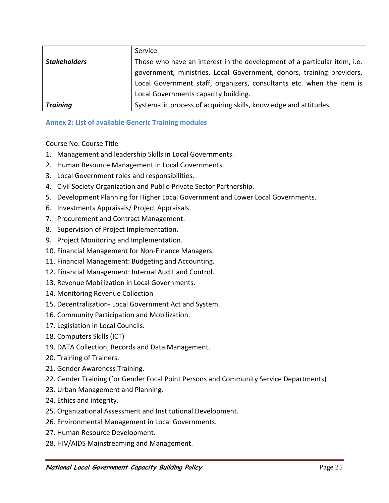|                                                                                                   | Service                                                               |
|---------------------------------------------------------------------------------------------------|-----------------------------------------------------------------------|
| Those who have an interest in the development of a particular item, i.e.  <br><b>Stakeholders</b> |                                                                       |
|                                                                                                   | government, ministries, Local Government, donors, training providers, |
|                                                                                                   | Local Government staff, organizers, consultants etc. when the item is |
|                                                                                                   | Local Governments capacity building.                                  |
| Training                                                                                          | Systematic process of acquiring skills, knowledge and attitudes.      |

# <span id="page-30-0"></span>**Annex 2: List of available Generic Training modules**

Course No. Course Title

- 1. Management and leadership Skills in Local Governments.
- 2. Human Resource Management in Local Governments.
- 3. Local Government roles and responsibilities.
- 4. Civil Society Organization and Public-Private Sector Partnership.
- 5. Development Planning for Higher Local Government and Lower Local Governments.
- 6. Investments Appraisals/ Project Appraisals.
- 7. Procurement and Contract Management.
- 8. Supervision of Project Implementation.
- 9. Project Monitoring and Implementation.
- 10. Financial Management for Non-Finance Managers.
- 11. Financial Management: Budgeting and Accounting.
- 12. Financial Management: Internal Audit and Control.
- 13. Revenue Mobilization in Local Governments.
- 14. Monitoring Revenue Collection
- 15. Decentralization- Local Government Act and System.
- 16. Community Participation and Mobilization.
- 17. Legislation in Local Councils.
- 18. Computers Skills (ICT)
- 19. DATA Collection, Records and Data Management.
- 20. Training of Trainers.
- 21. Gender Awareness Training.
- 22. Gender Training (for Gender Focal Point Persons and Community Service Departments)
- 23. Urban Management and Planning.
- 24. Ethics and integrity.
- 25. Organizational Assessment and Institutional Development.
- 26. Environmental Management in Local Governments.
- 27. Human Resource Development.
- 28. HIV/AIDS Mainstreaming and Management.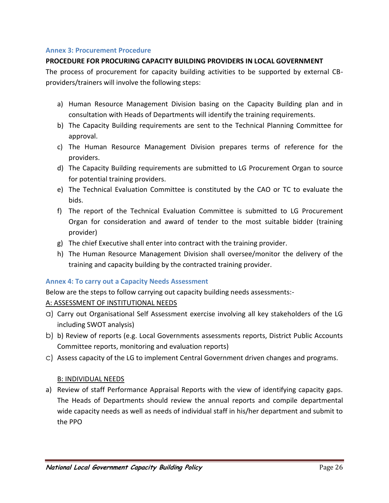### <span id="page-31-0"></span>**Annex 3: Procurement Procedure**

# **PROCEDURE FOR PROCURING CAPACITY BUILDING PROVIDERS IN LOCAL GOVERNMENT**

The process of procurement for capacity building activities to be supported by external CBproviders/trainers will involve the following steps:

- a) Human Resource Management Division basing on the Capacity Building plan and in consultation with Heads of Departments will identify the training requirements.
- b) The Capacity Building requirements are sent to the Technical Planning Committee for approval.
- c) The Human Resource Management Division prepares terms of reference for the providers.
- d) The Capacity Building requirements are submitted to LG Procurement Organ to source for potential training providers.
- e) The Technical Evaluation Committee is constituted by the CAO or TC to evaluate the bids.
- f) The report of the Technical Evaluation Committee is submitted to LG Procurement Organ for consideration and award of tender to the most suitable bidder (training provider)
- g) The chief Executive shall enter into contract with the training provider.
- h) The Human Resource Management Division shall oversee/monitor the delivery of the training and capacity building by the contracted training provider.

# <span id="page-31-1"></span>**Annex 4: To carry out a Capacity Needs Assessment**

Below are the steps to follow carrying out capacity building needs assessments:-

# A: ASSESSMENT OF INSTITUTIONAL NEEDS

- a) Carry out Organisational Self Assessment exercise involving all key stakeholders of the LG including SWOT analysis)
- b) b) Review of reports (e.g. Local Governments assessments reports, District Public Accounts Committee reports, monitoring and evaluation reports)
- c) Assess capacity of the LG to implement Central Government driven changes and programs.

# B: INDIVIDUAL NEEDS

a) Review of staff Performance Appraisal Reports with the view of identifying capacity gaps. The Heads of Departments should review the annual reports and compile departmental wide capacity needs as well as needs of individual staff in his/her department and submit to the PPO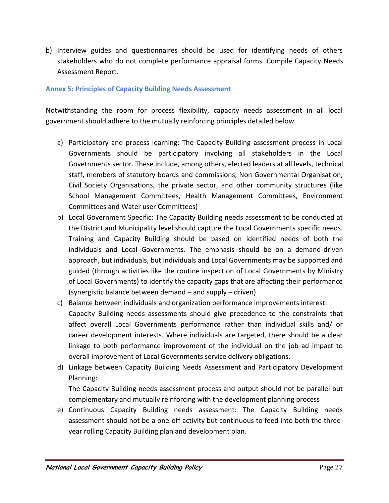b) Interview guides and questionnaires should be used for identifying needs of others stakeholders who do not complete performance appraisal forms. Compile Capacity Needs Assessment Report.

#### <span id="page-32-0"></span>**Annex 5: Principles of Capacity Building Needs Assessment**

Notwithstanding the room for process flexibility, capacity needs assessment in all local government should adhere to the mutually reinforcing principles detailed below.

- a) Participatory and process learning: The Capacity Building assessment process in Local Governments should be participatory involving all stakeholders in the Local Govetnments sector. These include, among others, elected leaders at all levels, technical staff, members of statutory boards and commissions, Non Governmental Organisation, Civil Society Organisations, the private sector, and other community structures (like School Management Committees, Health Management Committees, Environment Committees and Water user Committees)
- b) Local Government Specific: The Capacity Building needs assessment to be conducted at the District and Municipality level should capture the Local Governments specific needs. Training and Capacity Building should be based on identified needs of both the individuals and Local Governments. The emphasis should be on a demand-driven approach, but individuals, but individuals and Local Governments may be supported and guided (through activities like the routine inspection of Local Governments by Ministry of Local Governments) to identify the capacity gaps that are affecting their performance (synergistic balance between demand – and supply – driven)
- c) Balance between individuals and organization performance improvements interest: Capacity Building needs assessments should give precedence to the constraints that affect overall Local Governments performance rather than individual skills and/ or career development interests. Where individuals are targeted, there should be a clear linkage to both performance improvement of the individual on the job ad impact to overall improvement of Local Governments service delivery obligations.
- d) Linkage between Capacity Building Needs Assessment and Participatory Development Planning:

The Capacity Building needs assessment process and output should not be parallel but complementary and mutually reinforcing with the development planning process

e) Continuous Capacity Building needs assessment: The Capacity Building needs assessment should not be a one-off activity but continuous to feed into both the threeyear rolling Capacity Building plan and development plan.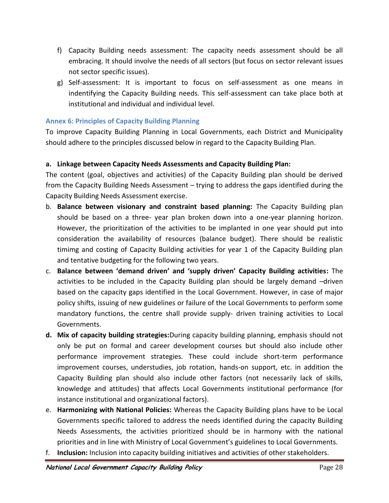- f) Capacity Building needs assessment: The capacity needs assessment should be all embracing. It should involve the needs of all sectors (but focus on sector relevant issues not sector specific issues).
- g) Self-assessment: It is important to focus on self-assessment as one means in indentifying the Capacity Building needs. This self-assessment can take place both at institutional and individual and individual level.

# <span id="page-33-0"></span>**Annex 6: Principles of Capacity Building Planning**

To improve Capacity Building Planning in Local Governments, each District and Municipality should adhere to the principles discussed below in regard to the Capacity Building Plan.

# **a. Linkage between Capacity Needs Assessments and Capacity Building Plan:**

The content (goal, objectives and activities) of the Capacity Building plan should be derived from the Capacity Building Needs Assessment – trying to address the gaps identified during the Capacity Building Needs Assessment exercise.

- b. **Balance between visionary and constraint based planning:** The Capacity Building plan should be based on a three- year plan broken down into a one-year planning horizon. However, the prioritization of the activities to be implanted in one year should put into consideration the availability of resources (balance budget). There should be realistic timimg and costing of Capacity Building activities for year 1 of the Capacity Building plan and tentative budgeting for the following two years.
- c. **Balance between 'demand driven' and 'supply driven' Capacity Building activities:** The activities to be included in the Capacity Building plan should be largely demand –driven based on the capacity gaps identified in the Local Government. However, in case of major policy shifts, issuing of new guidelines or failure of the Local Governments to perform some mandatory functions, the centre shall provide supply- driven training activities to Local Governments.
- **d. Mix of capacity building strategies:**During capacity building planning, emphasis should not only be put on formal and career development courses but should also include other performance improvement strategies. These could include short-term performance improvement courses, understudies, job rotation, hands-on support, etc. in addition the Capacity Building plan should also include other factors (not necessarily lack of skills, knowledge and attitudes) that affects Local Governments institutional performance (for instance institutional and organizational factors).
- e. **Harmonizing with National Policies:** Whereas the Capacity Building plans have to be Local Governments specific tailored to address the needs identified during the capacity Building Needs Assessments, the activities prioritized should be in harmony with the national priorities and in line with Ministry of Local Government's guidelines to Local Governments.
- f. **Inclusion:** Inclusion into capacity building initiatives and activities of other stakeholders.